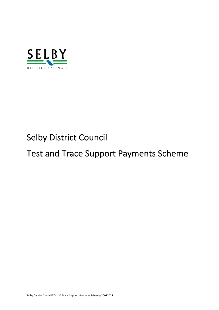

# Selby District Council

# Test and Trace Support Payments Scheme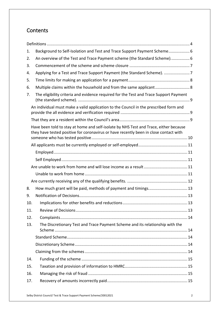# **Contents**

| 1.  | Background to Self-Isolation and Test and Trace Support Payment Scheme 6                                                                                                       |  |
|-----|--------------------------------------------------------------------------------------------------------------------------------------------------------------------------------|--|
| 2.  | An overview of the Test and Trace Payment scheme (the Standard Scheme) 6                                                                                                       |  |
| 3.  |                                                                                                                                                                                |  |
| 4.  | Applying for a Test and Trace Support Payment (the Standard Scheme). 7                                                                                                         |  |
| 5.  |                                                                                                                                                                                |  |
| 6.  |                                                                                                                                                                                |  |
| 7.  | The eligibility criteria and evidence required for the Test and Trace Support Payment                                                                                          |  |
|     | An individual must make a valid application to the Council in the prescribed form and                                                                                          |  |
|     |                                                                                                                                                                                |  |
|     | Have been told to stay at home and self-isolate by NHS Test and Trace, either because<br>they have tested positive for coronavirus or have recently been in close contact with |  |
|     |                                                                                                                                                                                |  |
|     |                                                                                                                                                                                |  |
|     |                                                                                                                                                                                |  |
|     |                                                                                                                                                                                |  |
|     |                                                                                                                                                                                |  |
|     |                                                                                                                                                                                |  |
| 8.  | How much grant will be paid, methods of payment and timings 13                                                                                                                 |  |
| 9.  |                                                                                                                                                                                |  |
| 10. |                                                                                                                                                                                |  |
| 11. |                                                                                                                                                                                |  |
| 12. |                                                                                                                                                                                |  |
| 13. | The Discretionary Test and Trace Payment Scheme and its relationship with the                                                                                                  |  |
|     |                                                                                                                                                                                |  |
|     |                                                                                                                                                                                |  |
|     |                                                                                                                                                                                |  |
| 14. |                                                                                                                                                                                |  |
| 15. |                                                                                                                                                                                |  |
| 16. |                                                                                                                                                                                |  |
| 17. |                                                                                                                                                                                |  |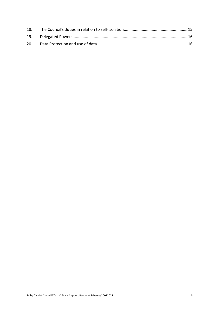| 18. |  |
|-----|--|
|     |  |
|     |  |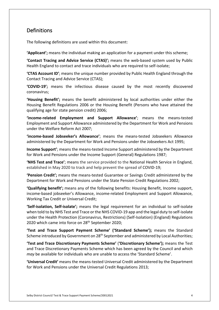# Definitions

The following definitions are used within this document:

**'Applicant';** means the individual making an application for a payment under this scheme;

 **'Contact Tracing and Advice Service (CTAS)';** means the web-based system used by Public Health England to contact and trace individuals who are required to self-isolate;

 **'CTAS Account ID'**; means the unique number provided by Public Health England through the Contact Tracing and Advice Service (CTAS);

 **'COVID-19';** means the infectious disease caused by the most recently discovered coronavirus;

 **'Housing Benefit';** means the benefit administered by local authorities under either the Housing Benefit Regulations 2006 or the Housing Benefit (Persons who have attained the qualifying age for state pension credit) 2006;

 **'income-related Employment and Support Allowance'**; means the means-tested Employment and Support Allowance administered by the Department for Work and Pensions under the Welfare Reform Act 2007;

 **'income-based Jobseeker's Allowance'**; means the means-tested Jobseekers Allowance administered by the Department for Work and Pensions under the Jobseekers Act 1995;

 **Income Support'**; means the means-tested Income Support administered by the Department for Work and Pensions under the Income Support (General) Regulations 1987;

 **'NHS Test and Trace'**; means the service provided to the National Health Service in England, established in May 2020 to track and help prevent the spread of COVID-19;

 **'Pension Credit';** means the means-tested Guarantee or Savings Credit administered by the Department for Work and Pensions under the State Pension Credit Regulations 2002;

 **'Qualifying benefit';** means any of the following benefits: Housing Benefit, Income support, income-based jobseeker's Allowance, income-related Employment and Support Allowance, Working Tax Credit or Universal Credit;

 **'Self-isolation, Self-isolate';** means the legal requirement for an individual to self-isolate when told to by NHS Test and Trace or the NHS COVID-19 app and the legal duty to self-isolate under the Health Protection (Coronavirus, Restrictions) (Self-Isolation) (England) Regulations 2020 which came into force on 28<sup>th</sup> September 2020;

 **'Test and Trace Support Payment Scheme' ('Standard Scheme');** means the Standard Scheme introduced by Government on 28<sup>th</sup> September and administered by Local Authorities;

 **'Test and Trace Discretionary Payments Scheme'** (**'Discretionary Scheme');** means the Test and Trace Discretionary Payments Scheme which has been agreed by the Council and which *may* be available for individuals who are unable to access the 'Standard Scheme'.

 **'Universal Credit'** means the means-tested Universal Credit administered by the Department for Work and Pensions under the Universal Credit Regulations 2013;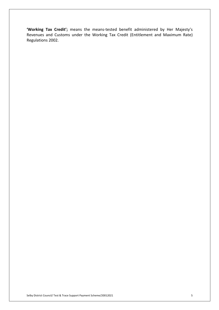**'Working Tax Credit';** means the means-tested benefit administered by Her Majesty's Revenues and Customs under the Working Tax Credit (Entitlement and Maximum Rate) Regulations 2002.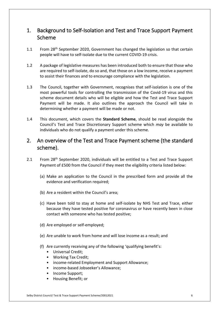# 1. Background to Self-Isolation and Test and Trace Support Payment Scheme

- 1.1 From 28<sup>th</sup> September 2020, Government has changed the legislation so that certain people will have to self-isolate due to the current COVID-19 crisis.
- 1.2 A package of legislative measures has been introduced both to ensure that those who are required to self-isolate, do so and, that those on a low income, receive a payment to assist their finances and to encourage compliance with the legislation.
- 1.3 The Council, together with Government, recognises that self-isolation is one of the most powerful tools for controlling the transmission of the Covid-19 virus and this scheme document details who will be eligible and how the Test and Trace Support Payment will be made. It also outlines the approach the Council will take in determining whether a payment will be made or not.
- 1.4 This document, which covers the **Standard Scheme**, should be read alongside the Council's Test and Trace Discretionary Support scheme which *may* be available to individuals who do not qualify a payment under this scheme.

# 2. An overview of the Test and Trace Payment scheme (the standard scheme).

- 2.1 From 28<sup>th</sup> September 2020, individuals will be entitled to a Test and Trace Support Payment of £500 from the Council if they meet the eligibility criteria listed below:
	- (a) Make an application to the Council in the prescribed form and provide all the evidence and verification required;
	- (b) Are a resident within the Council's area;
	- (c) Have been told to stay at home and self-isolate by NHS Test and Trace, either because they have tested positive for coronavirus or have recently been in close contact with someone who has tested positive;
	- (d) Are employed or self-employed;
	- (e) Are unable to work from home and will lose income as a result; and
	- (f) Are currently receiving any of the following 'qualifying benefit's:
		- Universal Credit;
		- Working Tax Credit;
		- income-related Employment and Support Allowance;
		- income-based Jobseeker's Allowance;
		- Income Support;
		- Housing Benefit; or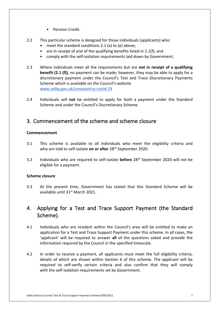- Pension Credit.
- 2.2 This particular scheme is designed for those individuals (applicants) who:
	- meet the standard conditions 2.1 (a) to (e) above;
	- are in receipt of one of the qualifying benefits listed in 2.1(f); and
	- comply with the self-isolation requirements laid down by Government;
- $2.3$  **benefit (2.1 (f))**, no payment can be made; however, they may be able to apply for a discretionary payment under the Council's Test and Trace Discretionary Payments Scheme which is available on the Council's website 2.3 Where individuals meet all the requirements but are **not in receipt of a qualifying**  <www.selby.gov.uk/coronavirus-covid-19>
- 2.4 Individuals will **not** be entitled to apply for both a payment under the Standard Scheme and under the Council's Discretionary Scheme.

# 3. Commencement of the scheme and scheme closure

#### **Commencement**

- $3.1$ This scheme is available to all individuals who meet the eligibility criteria and who are told to self-isolate **on or after** 28th September 2020.
- 3.2 Individuals who are required to self-isolate **before** 28th September 2020 will not be eligible for a payment.

#### **Scheme closure**

 $3.3$ available until 31<sup>st</sup> March 2021. At the present time, Government has stated that this Standard Scheme will be

# 4. Applying for a Test and Trace Support Payment (the Standard Scheme).

- 4.1 Individuals who are resident within the Council's area will be entitled to make an application for a Test and Trace Support Payment under this scheme. In all cases, the 'applicant' will be required to answer **all** of the questions asked and provide the information required by the Council in the specified timescale.
- $4.2$  details of which are shown within Section 6 of this scheme. The applicant will be required to self-verify certain criteria and also confirm that they will comply In order to receive a payment, all applicants must meet the full eligibility criteria, with the self-isolation requirements set by Government.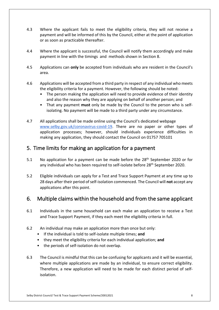- $4.3$  payment and will be informed of this by the Council, either at the point of application or as soon as practicable thereafter. Where the applicant fails to meet the eligibility criteria, they will not receive a
- $4.4$  payment in line with the timings and methods shown in Section 8. Where the applicant is successful, the Council will notify them accordingly and make
- 4.5 Applications can **only** be accepted from individuals who are resident in the Council's area.
- 4.6 Applications will be accepted from a third party in respect of any individual who meets the eligibility criteria for a payment. However, the following should be noted:
	- • The person making the application will need to provide evidence of their identity and also the reason why they are applying on behalf of another person; and
	- • That any payment **must** only be made by the Council to the person who is self-isolating. No payment will be made to a third party under any circumstance.
- $4.7$ [www.selby.gov.uk/coronavirus-covid-19.](www.selby.gov.uk/coronavirus-covid-19) There are no paper or other types of application processes; however, should individuals experience difficulties in making any application, they should contact the Council on 01757 705101 All applications shall be made online using the Council's dedicated webpage

# 5. Time limits for making an application for a payment

- $5.1$ No application for a payment can be made before the  $28<sup>th</sup>$  September 2020 or for any individual who has been required to self-isolate before 28<sup>th</sup> September 2020.
- $52$  applications after this point. Eligible individuals can apply for a Test and Trace Support Payment at any time up to 28 days after their period of self-isolation commenced. The Council will **not** accept any

# 6. Multiple claims within the household and from the same applicant

- 6.1 Individuals in the same household can each make an application to receive a Test and Trace Support Payment, if they each meet the eligibility criteria in full.
- $6.2$ An individual may make an application more than once but only:
	- If the individual is told to self-isolate multiple times; **and**
	- they meet the eligibility criteria for each individual application; **and**
	- the periods of self-isolation do not overlap.
- $6.3$  where multiple applications are made by an individual, to ensure correct eligibility. Therefore, a new application will need to be made for each distinct period of self-The Council is mindful that this can be confusing for applicants and it will be essential, isolation.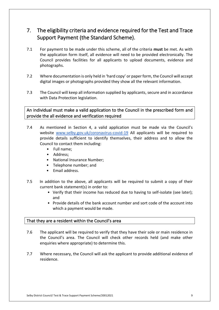# 7. The eligibility criteria and evidence required for the Test and Trace Support Payment (the Standard Scheme).

- 7.1 For payment to be made under this scheme, all of the criteria **must** be met. As with the application form itself, all evidence will need to be provided electronically. The Council provides facilities for all applicants to upload documents, evidence and photographs.
- 7.2 Where documentation is only held in 'hard copy' or paper form, the Council will accept digital images or photographs provided they show all the relevant information.
- 7.3 The Council will keep all information supplied by applicants, secure and in accordance with Data Protection legislation.

 An individual must make a valid application to the Council in the prescribed form and provide the all evidence and verification required

- $7.4$ website <www.selby.gov.uk/coronavirus-covid-19> All applicants will be required to provide details sufficient to identify themselves, their address and to allow the Council to contact them including: As mentioned in Section 4, a valid application must be made via the Council's
	- Full name;
	- Address;
	- National Insurance Number;
	- Telephone number; and
	- Email address.
- 7.5 In addition to the above, all applicants will be required to submit a copy of their current bank statement(s) in order to:
	- • Verify that their income has reduced due to having to self-isolate (see later); and
	- • Provide details of the bank account number and sort code of the account into which a payment would be made.

#### That they are a resident within the Council's area

- $7.6$  enquiries where appropriate) to determine this. The applicant will be required to verify that they have their sole or main residence in the Council's area. The Council will check other records held (and make other
- $7.7$ 7.7 Where necessary, the Council will ask the applicant to provide additional evidence of residence.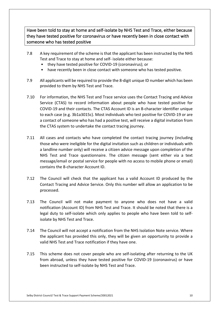Have been told to stay at home and self-isolate by NHS Test and Trace, either because they have tested positive for coronavirus or have recently been in close contact with someone who has tested positive

- $7.8$  Test and Trace to stay at home and self- isolate either because: A key requirement of the scheme is that the applicant has been instructed by the NHS
	- they have tested positive for COVID-19 (coronavirus); or
	- have recently been in close contact with someone who has tested positive.
- $7.9$  provided to them by NHS Test and Trace. All applicants will be required to provide the 8-digit unique ID number which has been
- $7.10$  Service (CTAS) to record information about people who have tested positive for COVID-19 and their contacts. The CTAS Account ID is an 8-character identifier unique a contact of someone who has had a positive test, will receive a digital invitation from For information, the NHS Test and Trace service uses the Contact Tracing and Advice to each case (e.g. 3b1a3015c). Most individuals who test positive for COVID-19 or are the CTAS system to undertake the contact tracing journey.
- 7.11 All cases and contacts who have completed the contact tracing journey (including message/email or postal service for people with no access to mobile phone or email) those who were ineligible for the digital invitation such as children or individuals with a landline number only) will receive a citizen advice message upon completion of the NHS Test and Trace questionnaire. The citizen message (sent either via a text contains the 8-character Account ID.
- $7.12$  Contact Tracing and Advice Service. Only this number will allow an application to be The Council will check that the applicant has a valid Account ID produced by the processed.
- $7.13$  notification (Account ID) from NHS Test and Trace. It should be noted that there is a isolate by NHS Test and Trace. The Council will not make payment to anyone who does not have a valid legal duty to self-isolate which only applies to people who have been told to self-
- 7.14 The Council will not accept a notification from the NHS Isolation Note service. Where the applicant has provided this only, they will be given an opportunity to provide a valid NHS Test and Trace notification if they have one.
- 7.15 This scheme does not cover people who are self-isolating after returning to the UK from abroad, unless they have tested positive for COVID-19 (coronavirus) or have been instructed to self-isolate by NHS Test and Trace.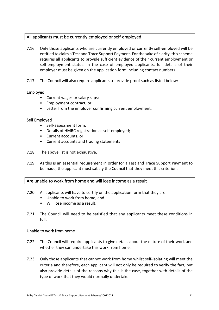#### All applicants must be currently employed or self-employed

- $7.16$  entitled to claim a Test and Trace Support Payment. For the sake of clarity, this scheme requires all applicants to provide sufficient evidence of their current employment or self-employment status. In the case of employed applicants, full details of their employer must be given on the application form including contact numbers. 7.16 Only those applicants who are currently employed or currently self-employed will be
- 7.17 The Council will also require applicants to provide proof such as listed below:

#### Employed

- Current wages or salary slips;
- Employment contract; or
- Letter from the employer confirming current employment.

#### Self Employed

- Self-assessment form;
- Details of HMRC registration as self-employed;
- Current accounts; or
- Current accounts and trading statements
- 7.18 The above list is not exhaustive.
- $7.19$ As this is an essential requirement in order for a Test and Trace Support Payment to be made, the applicant must satisfy the Council that they meet this criterion.

#### Are unable to work from home and will lose income as a result

- 7.20 All applicants will have to certify on the application form that they are:
	- Unable to work from home; and
	- Will lose income as a result.
- $7.21$ The Council will need to be satisfied that any applicants meet these conditions in full.

#### Unable to work from home

- $7.22$  whether they can undertake this work from home. The Council will require applicants to give details about the nature of their work and
- $7.23$  criteria and therefore, each applicant will not only be required to verify the fact, but 7.23 Only those applicants that cannot work from home whilst self-isolating will meet the also provide details of the reasons why this is the case, together with details of the type of work that they would normally undertake.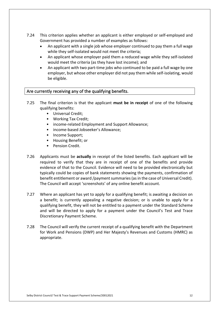- $7.24$  Government has provided a number of examples as follows: This criterion applies whether an applicant is either employed or self-employed and
	- • An applicant with a single job whose employer continued to pay them a full wage while they self-isolated would not meet the criteria;
	- • An applicant whose employer paid them a reduced wage while they self-isolated would meet the criteria (as they have lost income); and
	- • An applicant with two part-time jobs who continued to be paid a full wage by one employer, but whose other employer did not pay them while self-isolating, would be eligible.

#### Are currently receiving any of the qualifying benefits.

- $7.25$  qualifying benefits: The final criterion is that the applicant **must be in receipt** of one of the following
	- Universal Credit;
	- Working Tax Credit;
	- income-related Employment and Support Allowance;
	- income-based Jobseeker's Allowance;
	- Income Support;
	- Housing Benefit; or
	- Pension Credit.
- 7.26 Applicants must be **actually** in receipt of the listed benefits. Each applicant will be required to verify that they are in receipt of one of the benefits and provide evidence of that to the Council. Evidence will need to be provided electronically but typically could be copies of bank statements showing the payments, confirmation of benefit entitlement or award /payment summaries (as in the case of Universal Credit). The Council will accept 'screenshots' of any online benefit account.
- $7.27$  a benefit; is currently appealing a negative decision; or is unable to apply for a qualifying benefit, they will not be entitled to a payment under the Standard Scheme Where an applicant has yet to apply for a qualifying benefit; is awaiting a decision on and will be directed to apply for a payment under the Council's Test and Trace Discretionary Payment Scheme.
- $7.28$ The Council will verify the current receipt of a qualifying benefit with the Department for Work and Pensions (DWP) and Her Majesty's Revenues and Customs (HMRC) as appropriate.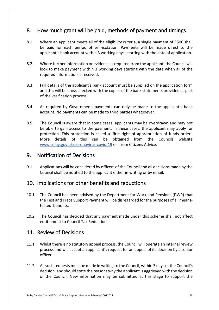# 8. How much grant will be paid, methods of payment and timings.

- 8.1 applicant's bank account within 3 working days, starting with the date of application. Where an applicant meets all of the eligibility criteria, a single payment of £500 shall be paid for each period of self-isolation. Payments will be made direct to the
- $8.2$  required information is received. 8.2 Where further information or evidence is required from the applicant, the Council will look to make payment within 3 working days starting with the date when all of the
- 8.3 Full details of the applicant's bank account must be supplied on the application form and this will be cross checked with the copies of the bank statements provided as part of the verification process.
- 8.4 account. No payments can be made to third parties whatsoever. 8.4 As required by Government, payments can only be made to the applicant's bank
- 8.5 protection. This protection is called a 'first right of appropriation of funds order'. More <www.selby.gov.uk/coronavirus-covid-19>or from Citizens Advice. The Council is aware that in some cases, applicants may be overdrawn and may not be able to gain access to the payment. In these cases, the applicant may apply for details of this can be obtained from the Councils website

### 9. Notification of Decisions

 9.1 Applications will be considered by officers of the Council and all decisions made by the Council shall be notified to the applicant either in writing or by email.

# 10. Implications for other benefits and reductions

- $10.1$  tested benefits. The Council has been advised by the Department for Work and Pensions (DWP) that the Test and Trace Support Payment will be disregarded for the purposes of all means-
- $10.2$  entitlement to Council Tax Reduction. The Council has decided that any payment made under this scheme shall not affect

# 11. Review of Decisions

- 11.1 Whilst there is no statutory appeal process, the Council will operate an internal review process and will accept an applicant's request for an appeal of its decision by a senior officer.
- $11.2$  decision, and should state the reasons why the applicant is aggrieved with the decision All such requests must be made in writing to the Council, within 3 days of the Council's of the Council. New information may be submitted at this stage to support the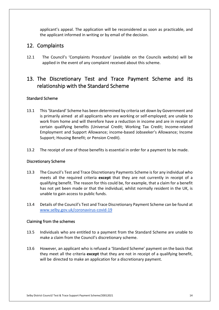applicant's appeal. The application will be reconsidered as soon as practicable, and the applicant informed in writing or by email of the decision.

# 12. Complaints

 $12.1$  applied in the event of any complaint received about this scheme. The Council's 'Complaints Procedure' (available on the Councils website) will be

# relationship with the Standard Scheme 13. The Discretionary Test and Trace Payment Scheme and its

#### Standard Scheme

- 13.1 This 'Standard' Scheme has been determined by criteria set down by Government and certain qualifying benefits (Universal Credit; Working Tax Credit; Income-related Employment and Support Allowance; income-based Jobseeker's Allowance; Income Support; Housing Benefit; or Pension Credit). is primarily aimed at all applicants who are working or self-employed; are unable to work from home and will therefore have a reduction in income and are in receipt of
- $13.2$ The receipt of one of those benefits is essential in order for a payment to be made.

#### Discretionary Scheme

- $13.3$  meets all the required criteria **except** that they are not currently in receipt of a qualifying benefit. The reason for this could be, for example, that a claim for a benefit unable to gain access to public funds. 13.3 The Council's Test and Trace Discretionary Payments Scheme is for any individual who has not yet been made or that the individual, whilst normally resident in the UK, is
- $13.4$ 13.4 Details of the Council's Test and Trace Discretionary Payment Scheme can be found at <www.selby.gov.uk/coronavirus-covid-19>

#### Claiming from the schemes

- 13.5 Individuals who are entitled to a payment from the Standard Scheme are unable to make a claim from the Council's discretionary scheme.
- $13.6$  will be directed to make an application for a discretionary payment. 13.6 However, an applicant who is refused a 'Standard Scheme' payment on the basis that they meet all the criteria **except** that they are not in receipt of a qualifying benefit,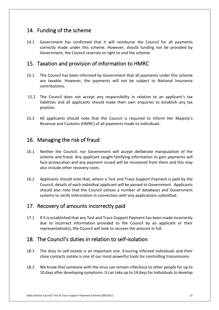# 14. Funding of the scheme

 14.1 Government has confirmed that it will reimburse the Council for all payments correctly made under this scheme. However, should funding not be provided by Government, the Council reserves to right to end the scheme.

# 15. Taxation and provision of information to HMRC

- $15.1$ 15.1 The Council has been informed by Government that all payments under this scheme are taxable. However, the payments will not be subject to National Insurance contributions.
- 15.2 The Council does not accept any responsibility in relation to an applicant's tax liabilities and all applicants should make their own enquiries to establish any tax position.
- 15.3 All applicants should note that the Council is required to inform Her Majesty's Revenue and Customs (HMRC) of all payments made to individuals.

# 16. Managing the risk of fraud

- $16.1$  scheme and fraud. Any applicant caught falsifying information to gain payments will Neither the Council, nor Government will accept deliberate manipulation of the face prosecution and any payment issued will be recovered from them and this may also include other recovery costs.
- 16.2 Applicants should note that, where a Test and Trace Support Payment is paid by the Council, details of each individual applicant will be passed to Government. Applicants should also note that the Council utilises a number of databases and Government systems to verify information in connection with any applications submitted.

# 17. Recovery of amounts incorrectly paid

 $17.1$  representative(s), the Council will look to recover the amount in full. If it is established that any Test and Trace Support Payment has been made incorrectly due to incorrect information provided to the Council by an applicant or their

# 18. The Council's duties in relation to self-isolation

- 18.1 The duty to self-isolate is an important one. Ensuring infected individuals and their close contacts isolate is one of our most powerful tools for controlling transmission.
- 18.2 We know that someone with the virus can remain infectious to other people for up to 10 days after developing symptoms. It can take up to 14 days for individuals to develop